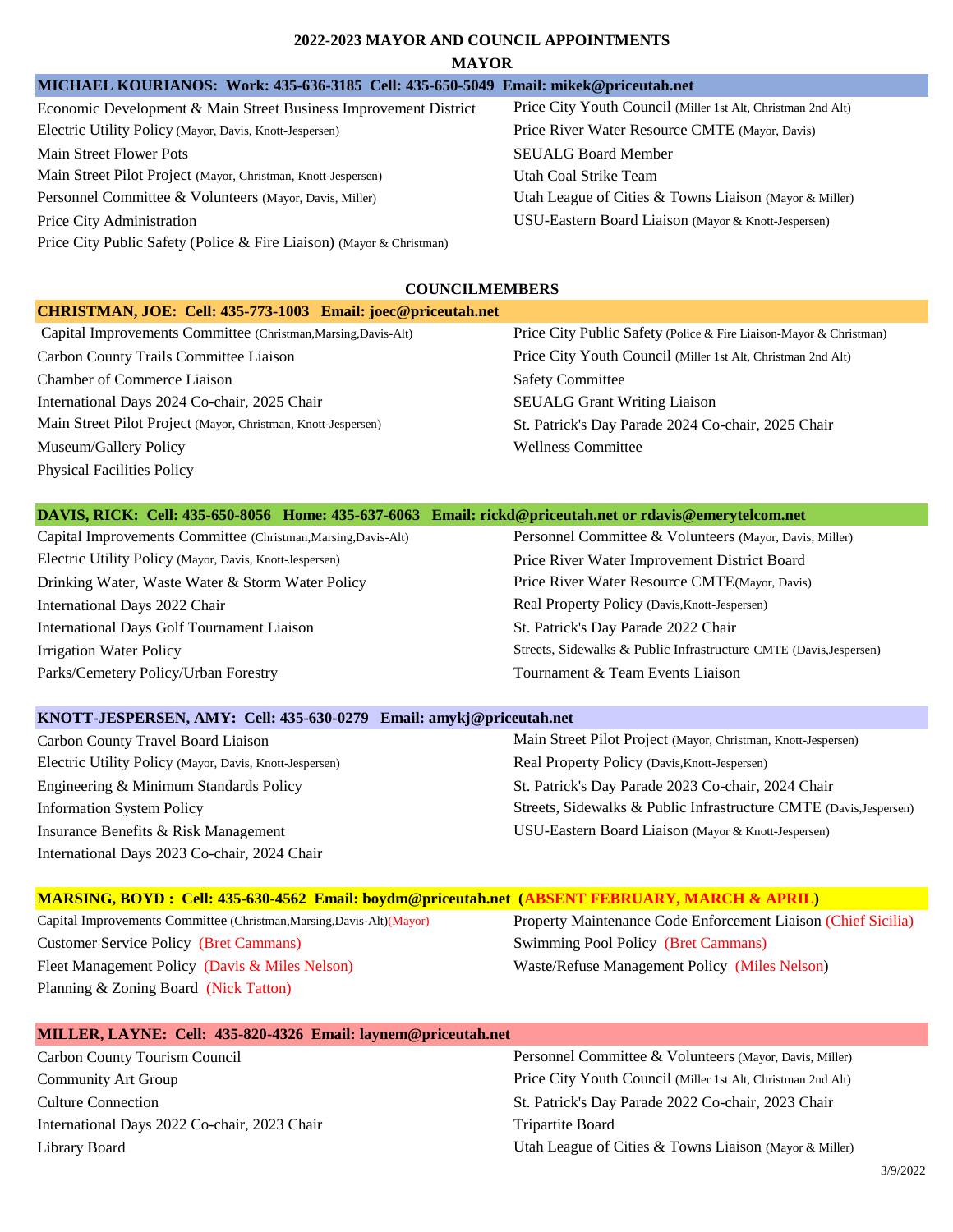#### **2022-2023 MAYOR AND COUNCIL APPOINTMENTS**

#### **MAYOR**

| Economic Development & Main Street Business Improvement District     |  |  |
|----------------------------------------------------------------------|--|--|
| Electric Utility Policy (Mayor, Davis, Knott-Jespersen)              |  |  |
| Main Street Flower Pots                                              |  |  |
| Main Street Pilot Project (Mayor, Christman, Knott-Jespersen)        |  |  |
| Personnel Committee & Volunteers (Mayor, Davis, Miller)              |  |  |
| Price City Administration                                            |  |  |
| Price City Public Safety (Police & Fire Liaison) (Mayor & Christman) |  |  |

#### **COUNCILMEMBERS**

| CHRISTMAN, JOE: Cell: 435-773-1003 Email: joec@priceutah.net   |                                                                    |
|----------------------------------------------------------------|--------------------------------------------------------------------|
| Capital Improvements Committee (Christman, Marsing, Davis-Alt) | Price City Public Safety (Police & Fire Liaison-Mayor & Christman) |
| Carbon County Trails Committee Liaison                         | Price City Youth Council (Miller 1st Alt, Christman 2nd Alt)       |
| <b>Chamber of Commerce Liaison</b>                             | <b>Safety Committee</b>                                            |
| International Days 2024 Co-chair, 2025 Chair                   | <b>SEUALG Grant Writing Liaison</b>                                |
| Main Street Pilot Project (Mayor, Christman, Knott-Jespersen)  | St. Patrick's Day Parade 2024 Co-chair, 2025 Chair                 |
| Museum/Gallery Policy                                          | <b>Wellness Committee</b>                                          |
| <b>Physical Facilities Policy</b>                              |                                                                    |

| DAVIS, RICK: Cell: 435-650-8056 Home: 435-637-6063 Email: rickd@priceutah.net or rdavis@emerytelcom.net |                                                         |
|---------------------------------------------------------------------------------------------------------|---------------------------------------------------------|
| Capital Improvements Committee (Christman, Marsing, Davis-Alt)                                          | Personnel Committee & Volunteers (Mayor, Davis, Miller) |
| Electric Utility Policy (Mayor, Davis, Knott-Jespersen)                                                 | Price River Water Improvement District Board            |

Drinking Water, Waste Water & Storm Water Policy Price River Water Resource CMTE(Mayor, Davis) International Days 2022 Chair Real Property Policy (Davis, Knott-Jespersen) International Days Golf Tournament Liaison St. Patrick's Day Parade 2022 Chair Parks/Cemetery Policy/Urban Forestry Tournament & Team Events Liaison

Irrigation Water Policy Streets, Sidewalks & Public Infrastructure CMTE (Davis,Jespersen)

Price City Youth Council (Miller 1st Alt, Christman 2nd Alt) Price River Water Resource CMTE (Mayor, Davis)

Utah League of Cities & Towns Liaison (Mayor & Miller) USU-Eastern Board Liaison (Mayor & Knott-Jespersen)

SEUALG Board Member Utah Coal Strike Team

#### **KNOTT-JESPERSEN, AMY: Cell: 435-630-0279 Email: amykj@priceutah.net**

| Carbon County Travel Board Liaison                     |
|--------------------------------------------------------|
| Electric Utility Policy (Mayor, Davis, Knott-Jesperser |
| Engineering & Minimum Standards Policy                 |
| <b>Information System Policy</b>                       |
| Insurance Benefits & Risk Management                   |
| International Days 2023 Co-chair, 2024 Chair           |

Main Street Pilot Project (Mayor, Christman, Knott-Jespersen) 1) Real Property Policy (Davis, Knott-Jespersen) St. Patrick's Day Parade 2023 Co-chair, 2024 Chair Streets, Sidewalks & Public Infrastructure CMTE (Davis,Jespersen) USU-Eastern Board Liaison (Mayor & Knott-Jespersen)

| <b>MARSING, BOYD: Cell: 435-630-4562 Email: boydm@priceutah.net (ABSENT FEBRUARY, MARCH &amp; APRIL)</b> |                                                               |
|----------------------------------------------------------------------------------------------------------|---------------------------------------------------------------|
| Capital Improvements Committee (Christman, Marsing, Davis-Alt) (Mayor)                                   | Property Maintenance Code Enforcement Liaison (Chief Sicilia) |
| <b>Customer Service Policy (Bret Cammans)</b>                                                            | <b>Swimming Pool Policy (Bret Cammans)</b>                    |
| Fleet Management Policy (Davis & Miles Nelson)                                                           | Waste/Refuse Management Policy (Miles Nelson)                 |
| Planning & Zoning Board (Nick Tatton)                                                                    |                                                               |

| MILLER, LAYNE: Cell: 435-820-4326 Email: laynem@priceutah.net |                                                              |
|---------------------------------------------------------------|--------------------------------------------------------------|
| Carbon County Tourism Council                                 | Personnel Committee & Volunteers (Mayor, Davis, Miller)      |
| <b>Community Art Group</b>                                    | Price City Youth Council (Miller 1st Alt, Christman 2nd Alt) |
| <b>Culture Connection</b>                                     | St. Patrick's Day Parade 2022 Co-chair, 2023 Chair           |
| International Days 2022 Co-chair, 2023 Chair                  | Tripartite Board                                             |
| Library Board                                                 | Utah League of Cities & Towns Liaison (Mayor & Miller)       |